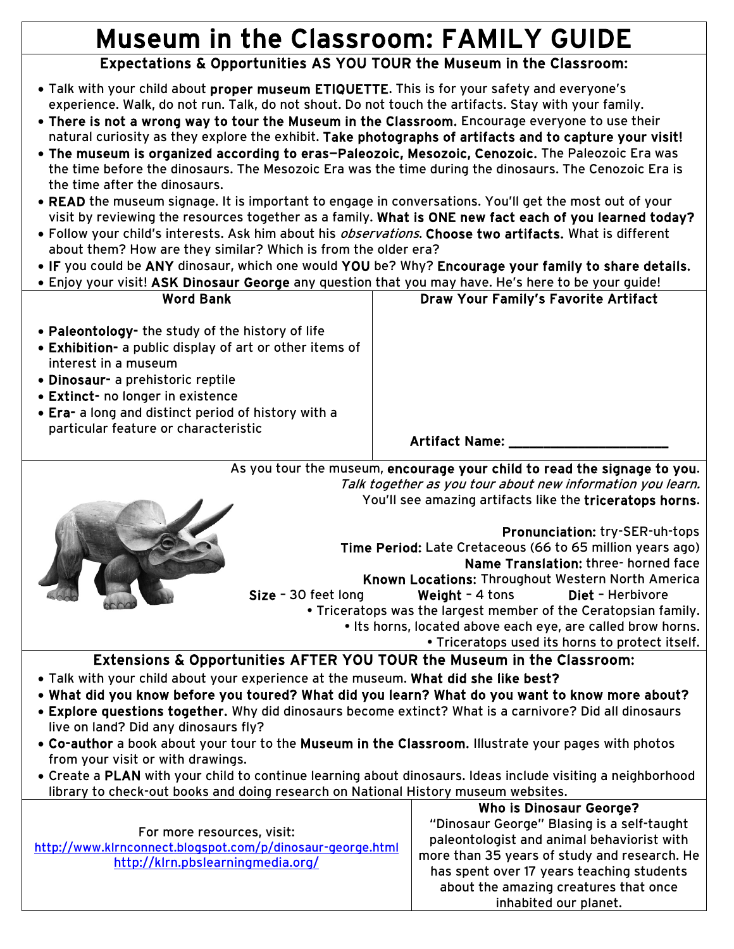## Museum in the Classroom: FAMILY GUIDE

## Expectations & Opportunities AS YOU TOUR the Museum in the Classroom:

- Talk with your child about proper museum ETIQUETTE. This is for your safety and everyone's experience. Walk, do not run. Talk, do not shout. Do not touch the artifacts. Stay with your family.
- There is not a wrong way to tour the Museum in the Classroom. Encourage everyone to use their natural curiosity as they explore the exhibit. Take photographs of artifacts and to capture your visit!
- The museum is organized according to eras—Paleozoic, Mesozoic, Cenozoic. The Paleozoic Era was the time before the dinosaurs. The Mesozoic Era was the time during the dinosaurs. The Cenozoic Era is the time after the dinosaurs.
- READ the museum signage. It is important to engage in conversations. You'll get the most out of your visit by reviewing the resources together as a family. What is ONE new fact each of you learned today?
- Follow your child's interests. Ask him about his *observations*. Choose two artifacts. What is different about them? How are they similar? Which is from the older era?
- IF you could be ANY dinosaur, which one would YOU be? Why? Encourage your family to share details.
- Enjoy your visit! ASK Dinosaur George any question that you may have. He's here to be your guide!

| <b>Word Bank</b>                                                                                                                                                                                                                                                                                             | <b>Draw Your Family's Favorite Artifact</b> |
|--------------------------------------------------------------------------------------------------------------------------------------------------------------------------------------------------------------------------------------------------------------------------------------------------------------|---------------------------------------------|
| • Paleontology- the study of the history of life<br>• Exhibition- a public display of art or other items of<br>interest in a museum<br>· Dinosaur- a prehistoric reptile<br>• Extinct- no longer in existence<br>• Era- a long and distinct period of history with a<br>particular feature or characteristic | <b>Artifact Name:</b>                       |

As you tour the museum, encourage your child to read the signage to you. Talk together as you tour about new information you learn. You'll see amazing artifacts like the triceratops horns.



Pronunciation: try-SER-uh-tops Time Period: Late Cretaceous (66 to 65 million years ago) Name Translation: three- horned face Known Locations: Throughout Western North America Size – 30 feet long Weight – 4 tons Diet – Herbivore • Triceratops was the largest member of the Ceratopsian family. • Its horns, located above each eye, are called brow horns. • Triceratops used its horns to protect itself.

## Extensions & Opportunities AFTER YOU TOUR the Museum in the Classroom:

- Talk with your child about your experience at the museum. What did she like best?
- What did you know before you toured? What did you learn? What do you want to know more about?
- Explore questions together. Why did dinosaurs become extinct? What is a carnivore? Did all dinosaurs live on land? Did any dinosaurs fly?
- Co-author a book about your tour to the Museum in the Classroom. Illustrate your pages with photos from your visit or with drawings.
- Create a PLAN with your child to continue learning about dinosaurs. Ideas include visiting a neighborhood library to check-out books and doing research on National History museum websites.

| For more resources, visit:                                 |  |  |
|------------------------------------------------------------|--|--|
| http://www.kirnconnect.blogspot.com/p/dinosaur-george.html |  |  |
| http://klrn.pbslearningmedia.org/                          |  |  |
|                                                            |  |  |

Who is Dinosaur George? "Dinosaur George" Blasing is a self-taught paleontologist and animal behaviorist with more than 35 years of study and research. He has spent over 17 years teaching students about the amazing creatures that once inhabited our planet.